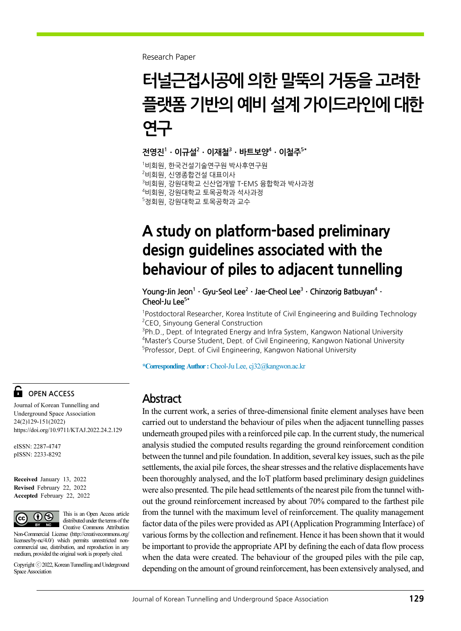Research Paper

# 터널근접시공에 의한 말뚝의 거동을 고려한 플랫폼 기반의 예비 설계 가이드라인에 대한 연구

전영진 $1 \cdot 0$ 규설 $^2 \cdot 0$ 재철 $^3 \cdot$  바트보양 $^4 \cdot 0$ ]철주 $^{5*}$ 

 비회원, 한국건설기술연구원 박사후연구원  $^{2}$ 비회원, 신영종합건설 대표이사 비회원, 강원대학교 신산업개발 T-EMS 융합학과 박사과정 비회원, 강원대학교 토목공학과 석사과정 정회원, 강원대학교 토목공학과 교수

## A study on platform-based preliminary design guidelines associated with the behaviour of piles to adjacent tunnelling

Young-Jin Jeon<sup>1</sup> · Gyu-Seol Lee<sup>2</sup> · Jae-Cheol Lee<sup>3</sup> · Chinzorig Batbuyan<sup>4</sup> · Cheol-Ju Lee $5*$ 

<sup>1</sup>Postdoctoral Researcher, Korea Institute of Civil Engineering and Building Technology <sup>2</sup>CEO, Sinyoung General Construction

<sup>3</sup>Ph.D., Dept. of Integrated Energy and Infra System, Kangwon National University <sup>4</sup>Master's Course Student, Dept. of Civil Engineering, Kangwon National University 5 Professor, Dept. of Civil Engineering, Kangwon National University

\*Corresponding Author :Cheol-Ju Lee, cj32@kangwon.ac.kr

#### Abstract

In the current work, a series of three-dimensional finite element analyses have been carried out to understand the behaviour of piles when the adjacent tunnelling passes underneath grouped piles with a reinforced pile cap. In the current study, the numerical analysis studied the computed results regarding the ground reinforcement condition between the tunnel and pile foundation. In addition, several key issues, such as the pile settlements, the axial pile forces, the shear stresses and the relative displacements have been thoroughly analysed, and the IoT platform based preliminary design guidelines were also presented. The pile head settlements of the nearest pile from the tunnel without the ground reinforcement increased by about 70% compared to the farthest pile from the tunnel with the maximum level of reinforcement. The quality management factor data of the piles were provided as API (Application Programming Interface) of various forms by the collection and refinement. Hence it has been shown that it would be important to provide the appropriate API by defining the each of data flow process when the data were created. The behaviour of the grouped piles with the pile cap, depending on the amount of ground reinforcement, has been extensively analysed, and

#### OPEN ACCESS

Journal of Korean Tunnelling and Underground Space Association 24(2)129-151(2022) https://doi.org/10.9711/KTAJ.2022.24.2.129

eISSN: 2287-4747 pISSN: 2233-8292

Received January 13, 2022 Revised February 22, 2022 Accepted February 22, 2022



This is an Open Access article distributed under the terms of the Creative Commons Attribution

Non-Commercial License (http://creativecommons.org/ licenses/by-nc/4.0/) which permits unrestricted noncommercial use, distribution, and reproduction in any medium, provided the original work is properly cited.

Copyright ⓒ2022, Korean Tunnelling and Underground Space Association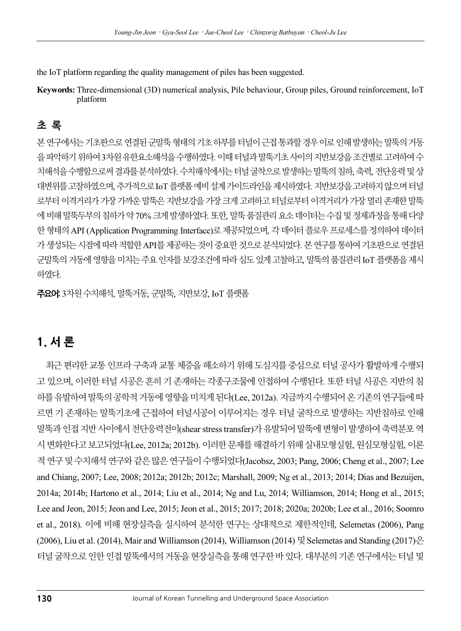the IoT platform regarding the quality management of piles has been suggested.

Keywords: Three-dimensional (3D) numerical analysis, Pile behaviour, Group piles, Ground reinforcement, IoT platform

### 초 록

본 연구에서는 기초판으로 연결된 군말뚝 형태의 기초 하부를 터널이 근접 통과할 경우 이로 인해 발생하는 말뚝의 거동 을 파악하기 위하여 3차원 유한요소해석을 수행하였다. 이때 터널과 말뚝기초 사이의 지반보강을 조건별로 고려하여 수 치해석을 수행함으로써 결과를 분석하였다. 수치해석에서는 터널 굴착으로 발생하는 말뚝의 침하, 축력, 전단응력 및 상 대변위를 고찰하였으며, 추가적으로 IoT 플랫폼 예비 설계 가이드라인을 제시하였다. 지반보강을 고려하지 않으며 터널 로부터 이격거리가 가장 가까운 말뚝은 지반보강을 가장 크게 고려하고 터널로부터 이격거리가 가장 멀리 존재한 말뚝 에 비해 말뚝두부의 침하가 약 70% 크게 발생하였다. 또한, 말뚝 품질관리 요소 데이터는 수집 및 정제과정을 통해 다양 한 형태의 API (Application Programming Interface)로 제공되었으며, 각 데이터 플로우 프로세스를 정의하여 데이터 가 생성되는 시점에 따라 적합한 API를 제공하는 것이 중요한 것으로 분석되었다. 본 연구를 통하여 기초판으로 연결된 군말뚝의 거동에 영향을 미치는 주요 인자를 보강조건에 따라 심도 있게 고찰하고, 말뚝의 품질관리 IoT 플랫폼을 제시 하였다.

주요어: 3차원 수치해석, 말뚝거동, 군말뚝, 지반보강, IoT 플랫폼

### 1. 서 론

최근 편리한 교통 인프라 구축과 교통 체증을 해소하기 위해 도심지를 중심으로 터널 공사가 활발하게 수행되 고 있으며, 이러한 터널 시공은 흔히 기 존재하는 각종구조물에 인접하여 수행된다. 또한 터널 시공은 지반의 침 하를 유발하여 말뚝의 공학적 거동에 영향을 미치게 된다(Lee, 2012a). 지금까지 수행되어 온 기존의 연구들에 따 르면 기 존재하는 말뚝기초에 근접하여 터널시공이 이루어지는 경우 터널 굴착으로 발생하는 지반침하로 인해 말뚝과 인접 지반 사이에서 전단응력전이(shear stress transfer)가 유발되어 말뚝에 변형이 발생하여 축력분포 역 시 변화한다고 보고되었다(Lee, 2012a; 2012b). 이러한 문제를 해결하기 위해 실내모형실험, 원심모형실험, 이론 적 연구 및 수치해석 연구와 같은 많은 연구들이 수행되었다(Jacobsz, 2003; Pang, 2006; Cheng et al., 2007; Lee and Chiang, 2007; Lee, 2008; 2012a; 2012b; 2012c; Marshall, 2009; Ng et al., 2013; 2014; Dias and Bezuijen, 2014a; 2014b; Hartono et al., 2014; Liu et al., 2014; Ng and Lu, 2014; Williamson, 2014; Hong et al., 2015; Lee and Jeon, 2015; Jeon and Lee, 2015; Jeon et al., 2015; 2017; 2018; 2020a; 2020b; Lee et al., 2016; Soomro et al., 2018). 이에 비해 현장실측을 실시하여 분석한 연구는 상대적으로 제한적인데, Selemetas (2006), Pang (2006), Liu et al. (2014), Mair and Williamson (2014), Williamson (2014) 및 Selemetas and Standing (2017)은 터널 굴착으로 인한 인접 말뚝에서의 거동을 현장실측을 통해 연구한 바 있다. 대부분의 기존 연구에서는 터널 및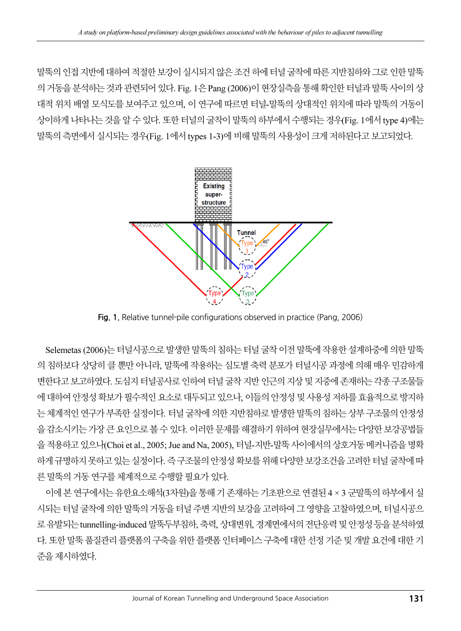말뚝의 인접 지반에 대하여 적절한 보강이 실시되지 않은 조건 하에 터널 굴착에 따른 지반침하와 그로 인한 말뚝 의 거동을 분석하는 것과 관련되어 있다. Fig. 1은 Pang (2006)이 현장실측을 통해 확인한 터널과 말뚝 사이의 상 대적 위치 배열 모식도를 보여주고 있으며, 이 연구에 따르면 터널-말뚝의 상대적인 위치에 따라 말뚝의 거동이 상이하게 나타나는 것을 알 수 있다. 또한 터널의 굴착이 말뚝의 하부에서 수행되는 경우(Fig. 1에서 type 4)에는 말뚝의 측면에서 실시되는 경우(Fig. 1에서 types 1-3)에 비해 말뚝의 사용성이 크게 저하된다고 보고되었다.



Fig. 1. Relative tunnel-pile configurations observed in practice (Pang, 2006)

Selemetas (2006)는 터널시공으로 발생한 말뚝의 침하는 터널 굴착 이전 말뚝에 작용한 설계하중에 의한 말뚝 의 침하보다 상당히 클 뿐만 아니라, 말뚝에 작용하는 심도별 축력 분포가 터널시공 과정에 의해 매우 민감하게 변한다고 보고하였다. 도심지 터널공사로 인하여 터널 굴착 지반 인근의 지상 및 지중에 존재하는 각종 구조물들 에 대하여 안정성 확보가 필수적인 요소로 대두되고 있으나, 이들의 안정성 및 사용성 저하를 효율적으로 방지하 는 체계적인 연구가 부족한 실정이다. 터널 굴착에 의한 지반침하로 발생한 말뚝의 침하는 상부 구조물의 안정성 을 감소시키는 가장 큰 요인으로 볼 수 있다. 이러한 문제를 해결하기 위하여 현장실무에서는 다양한 보강공법들 을 적용하고 있으나(Choi et al., 2005; Jue and Na, 2005), 터널-지반-말뚝 사이에서의 상호거동 메커니즘을 명확 하게 규명하지 못하고 있는 실정이다. 즉 구조물의 안정성 확보를 위해 다양한 보강조건을 고려한 터널 굴착에 따 른 말뚝의 거동 연구를 체계적으로 수행할 필요가 있다.

이에 본 연구에서는 유한요소해석(3차원)을 통해 기 존재하는 기초판으로 연결된 4 × 3 군말뚝의 하부에서 실 시되는 터널 굴착에 의한 말뚝의 거동을 터널 주변 지반의 보강을 고려하여 그 영향을 고찰하였으며, 터널시공으 로 유발되는 tunnelling-induced 말뚝두부침하, 축력, 상대변위, 경계면에서의 전단응력 및 안정성 등을 분석하였 다. 또한 말뚝 품질관리 플랫폼의 구축을 위한 플랫폼 인터페이스 구축에 대한 선정 기준 및 개발 요건에 대한 기 준을 제시하였다.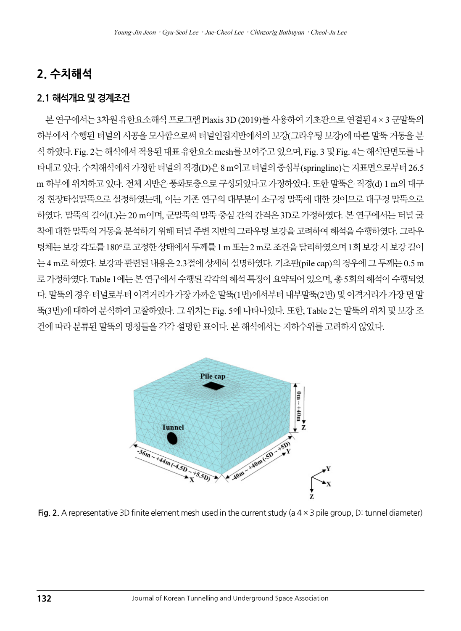### 2. 수치해석

#### 2.1 해석개요 및 경계조건

본 연구에서는 3차원 유한요소해석 프로그램 Plaxis 3D (2019)를 사용하여 기초판으로 연결된 4 × 3 군말뚝의 하부에서 수행된 터널의 시공을 모사함으로써 터널인접지반에서의 보강(그라우팅 보강)에 따른 말뚝 거동을 분 석 하였다. Fig. 2는 해석에서 적용된 대표 유한요소 mesh를 보여주고 있으며, Fig. 3 및 Fig. 4는 해석단면도를 나 타내고 있다. 수치해석에서 가정한 터널의 직경(D)은 8 m이고 터널의 중심부(springline)는 지표면으로부터 26.5 m 하부에 위치하고 있다. 전체 지반은 풍화토층으로 구성되었다고 가정하였다. 또한 말뚝은 직경(d) 1 m의 대구 경 현장타설말뚝으로 설정하였는데, 이는 기존 연구의 대부분이 소구경 말뚝에 대한 것이므로 대구경 말뚝으로 하였다. 말뚝의 길이(L)는 20 m이며, 군말뚝의 말뚝 중심 간의 간격은 3D로 가정하였다. 본 연구에서는 터널 굴 착에 대한 말뚝의 거동을 분석하기 위해 터널 주변 지반의 그라우팅 보강을 고려하여 해석을 수행하였다. 그라우 팅체는 보강 각도를 180°로 고정한 상태에서 두께를 1 m 또는 2 m로 조건을 달리하였으며 1회 보강 시 보강 길이 는 4 m로 하였다. 보강과 관련된 내용은 2.3절에 상세히 설명하였다. 기초판(pile cap)의 경우에 그 두께는 0.5 m 로 가정하였다. Table 1에는 본 연구에서 수행된 각각의 해석 특징이 요약되어 있으며, 총 5회의 해석이 수행되었 다. 말뚝의 경우 터널로부터 이격거리가 가장 가까운 말뚝(1번)에서부터 내부말뚝(2번) 및 이격거리가 가장 먼 말 뚝(3번)에 대하여 분석하여 고찰하였다. 그 위치는 Fig. 5에 나타나있다. 또한, Table 2는 말뚝의 위치 및 보강 조 건에 따라 분류된 말뚝의 명칭들을 각각 설명한 표이다. 본 해석에서는 지하수위를 고려하지 않았다.



Fig. 2. A representative 3D finite element mesh used in the current study (a  $4 \times 3$  pile group, D: tunnel diameter)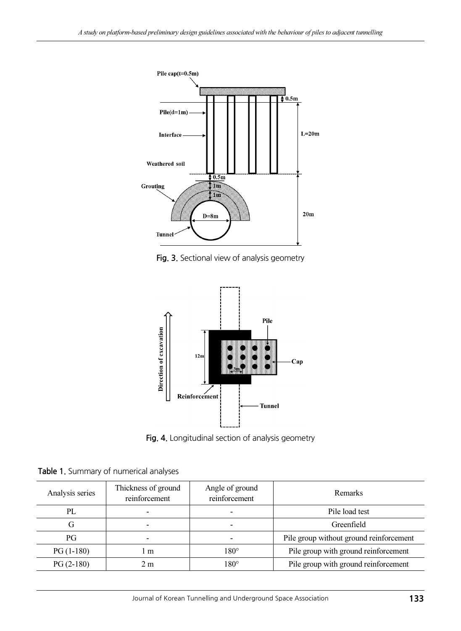

Fig. 3. Sectional view of analysis geometry



Fig. 4. Longitudinal section of analysis geometry

| Table 1. Summary of numerical analyses |  |
|----------------------------------------|--|
|----------------------------------------|--|

| Analysis series | Thickness of ground<br>reinforcement | Angle of ground<br>reinforcement | <b>Remarks</b>                          |
|-----------------|--------------------------------------|----------------------------------|-----------------------------------------|
| PL              | $\qquad \qquad \blacksquare$         | $\overline{\phantom{0}}$         | Pile load test                          |
| G               | -                                    |                                  | Greenfield                              |
| РG              | -                                    |                                  | Pile group without ground reinforcement |
| $PG(1-180)$     | m                                    | $180^\circ$                      | Pile group with ground reinforcement    |
| $PG(2-180)$     | 2 <sub>m</sub>                       | $180^\circ$                      | Pile group with ground reinforcement    |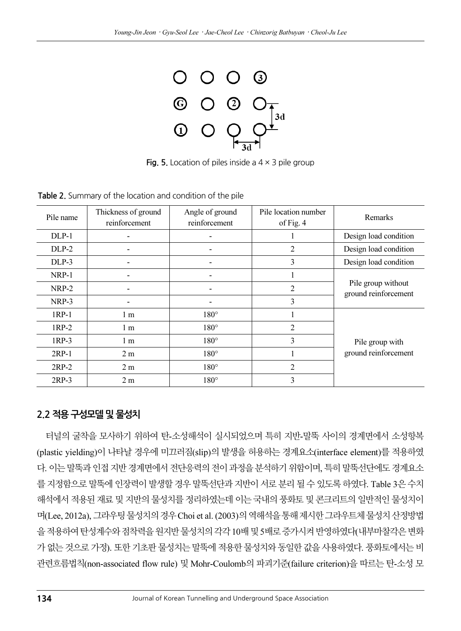

**Fig. 5.** Location of piles inside a  $4 \times 3$  pile group

Pile group with ground reinforcement

| Pile name | Thickness of ground<br>reinforcement | Angle of ground<br>reinforcement | Pile location number<br>of Fig. 4 | <b>Remarks</b>                             |
|-----------|--------------------------------------|----------------------------------|-----------------------------------|--------------------------------------------|
| $DLP-1$   |                                      |                                  |                                   | Design load condition                      |
| DLP-2     |                                      |                                  |                                   | Design load condition                      |
| $DLP-3$   |                                      |                                  |                                   | Design load condition                      |
| NRP-1     |                                      |                                  |                                   |                                            |
| NRP-2     |                                      |                                  |                                   | Pile group without<br>ground reinforcement |
| NRP-3     |                                      |                                  |                                   |                                            |

NRP-3  $\vert$  -  $\vert$  - 3 1RP-1 1 m 180° 1

1RP-2 1 m 180° 2 1RP-3 1 m 180° 3 2RP-1 2 m 180° 1 2RP-2 2 m 180° 2 2RP-3 2 m 180° 3

Table 2. Summary of the location and condition of the pile

#### 2.2 적용 구성모델 및 물성치

터널의 굴착을 모사하기 위하여 탄-소성해석이 실시되었으며 특히 지반-말뚝 사이의 경계면에서 소성항복 (plastic yielding)이 나타날 경우에 미끄러짐(slip)의 발생을 허용하는 경계요소(interface element)를 적용하였 다. 이는 말뚝과 인접 지반 경계면에서 전단응력의 전이 과정을 분석하기 위함이며, 특히 말뚝선단에도 경계요소 를 지정함으로 말뚝에 인장력이 발생할 경우 말뚝선단과 지반이 서로 분리 될 수 있도록 하였다. Table 3은 수치 해석에서 적용된 재료 및 지반의 물성치를 정리하였는데 이는 국내의 풍화토 및 콘크리트의 일반적인 물성치이 며(Lee, 2012a), 그라우팅 물성치의 경우 Choi et al. (2003)의 역해석을 통해 제시한 그라우트체 물성치 산정방법 을 적용하여 탄성계수와 점착력을 원지반 물성치의 각각 10배 및 5배로 증가시켜 반영하였다(내부마찰각은 변화 가 없는 것으로 가정). 또한 기초판 물성치는 말뚝에 적용한 물성치와 동일한 값을 사용하였다. 풍화토에서는 비 관련흐름법칙(non-associated flow rule) 및 Mohr-Coulomb의 파괴기준(failure criterion)을 따르는 탄-소성 모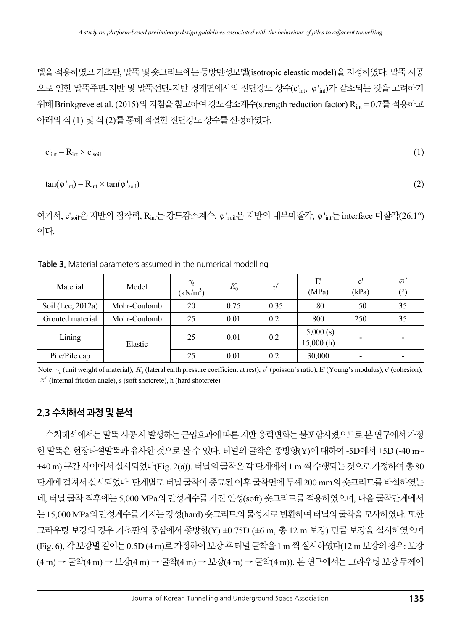델을 적용하였고 기초판, 말뚝 및 숏크리트에는 등방탄성모델(isotropic eleastic model)을 지정하였다. 말뚝 시공 으로 인한 말뚝주면-지반 및 말뚝선단-지반 경계면에서의 전단강도 상수(c'int, φ'int)가 감소되는 것을 고려하기 위해 Brinkgreve et al. (2015)의 지침을 참고하여 강도감소계수(strength reduction factor) Rint = 0.7를 적용하고 아래의 식 (1) 및 식 (2)를 통해 적절한 전단강도 상수를 산정하였다.

$$
c'_{\text{int}} = R_{\text{int}} \times c'_{\text{soil}} \tag{1}
$$

$$
\tan(\varphi_{\rm int}') = R_{\rm int} \times \tan(\varphi_{\rm soil})
$$
 (2)

여기서,  $c'_{\text{soil}}$ 은 지반의 점착력,  $R_{\text{int}}$ 는 강도감소계수,  $\varphi'_{\text{soil}}$ 은 지반의 내부마찰각,  $\varphi'_{\text{int}}$ 는 interface 마찰각(26.1°) 이다.

Table 3. Material parameters assumed in the numerical modelling

| <b>Table 3.</b> Material parameters assumed in the numerical modelling                                                                                     |              |                                    |       |      |                       |                        |                 |
|------------------------------------------------------------------------------------------------------------------------------------------------------------|--------------|------------------------------------|-------|------|-----------------------|------------------------|-----------------|
| Material                                                                                                                                                   | Model        | $\gamma_t$<br>(kN/m <sup>3</sup> ) | $K_0$ | v'   | E'<br>(MPa)           | $\mathbf{c}'$<br>(kPa) | Ø<br>$(^\circ)$ |
| Soil (Lee, 2012a)                                                                                                                                          | Mohr-Coulomb | 20                                 | 0.75  | 0.35 | 80                    | 50                     | 35              |
| Grouted material                                                                                                                                           | Mohr-Coulomb | 25                                 | 0.01  | 0.2  | 800                   | 250                    | 35              |
| Lining                                                                                                                                                     | Elastic      | 25                                 | 0.01  | 0.2  | 5,000(s)<br>15,000(h) |                        |                 |
| Pile/Pile cap                                                                                                                                              |              | 25                                 | 0.01  | 0.2  | 30,000                |                        |                 |
| Note: $\gamma_t$ (unit weight of material), $K_0$ (lateral earth pressure coefficient at rest), v' (poisson's ratio), E' (Young's modulus), c' (cohesion), |              |                                    |       |      |                       |                        |                 |

Note:  $\gamma_t$  (unit weight of material),  $K_0$  (lateral earth pressure coef  $\varnothing'$  (internal friction angle), s (soft shotcrete), h (hard shotcrete)

#### 2.3 수치해석 과정 및 분석

수치해석에서는 말뚝 시공 시 발생하는 근입효과에 따른 지반 응력변화는 불포함시켰으므로 본 연구에서 가정 한 말뚝은 현장타설말뚝과 유사한 것으로 볼 수 있다. 터널의 굴착은 종방향(Y)에 대하여 -5D에서 +5D (-40 m~ +40 m) 구간 사이에서 실시되었다(Fig. 2(a)). 터널의 굴착은 각 단계에서 1 m 씩 수행되는 것으로 가정하여 총 80 단계에 걸쳐서 실시되었다. 단계별로 터널 굴착이 종료된 이후 굴착면에 두께 200 mm의 숏크리트를 타설하였는 데, 터널 굴착 직후에는 5,000 MPa의 탄성계수를 가진 연성(soft) 숏크리트를 적용하였으며, 다음 굴착단계에서 는 15,000 MPa의 탄성계수를 가지는 강성(hard) 숏크리트의 물성치로 변환하여 터널의 굴착을 모사하였다. 또한 그라우팅 보강의 경우 기초판의 중심에서 종방향(Y) ±0.75D (±6 m, 총 12 m 보강) 만큼 보강을 실시하였으며 (Fig. 6), 각 보강별 길이는 0.5D (4 m)로 가정하여 보강 후 터널 굴착을 1 m 씩 실시하였다(12 m 보강의 경우: 보강 (4 m) → 굴착(4 m) → 보강(4 m) → 굴착(4 m) → 보강(4 m) → 굴착(4 m)). 본 연구에서는 그라우팅 보강 두께에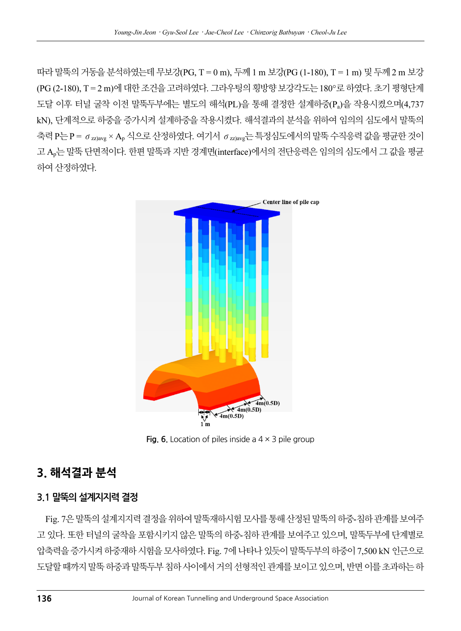따라 말뚝의 거동을 분석하였는데 무보강(PG, T = 0 m), 두께 1 m 보강(PG (1-180), T = 1 m) 및 두께 2 m 보강 (PG (2-180), T = 2 m)에 대한 조건을 고려하였다. 그라우팅의 횡방향 보강각도는 180°로 하였다. 초기 평형단계 도달 이후 터널 굴착 이전 말뚝두부에는 별도의 해석(PL)을 통해 결정한 설계하중(Pa)을 작용시켰으며(4,737 kN), 단계적으로 하중을 증가시켜 설계하중을 작용시켰다. 해석결과의 분석을 위하여 임의의 심도에서 말뚝의 축력 P는 P =  $\sigma_{zz|avg} \times A_p$  식으로 산정하였다. 여기서  $\sigma_{zz|avg}$ 는 특정심도에서의 말뚝 수직응력 값을 평균한 것이 고 Ap는 말뚝 단면적이다. 한편 말뚝과 지반 경계면(interface)에서의 전단응력은 임의의 심도에서 그 값을 평균 하여 산정하였다.



Fig. 6. Location of piles inside a  $4 \times 3$  pile group

### 3. 해석결과 분석

#### 3.1 말뚝의 설계지지력 결정

Fig. 7은 말뚝의 설계지지력 결정을 위하여 말뚝재하시험 모사를 통해 산정된 말뚝의 하중-침하 관계를 보여주 고 있다. 또한 터널의 굴착을 포함시키지 않은 말뚝의 하중-침하 관계를 보여주고 있으며, 말뚝두부에 단계별로 압축력을 증가시켜 하중재하 시험을 모사하였다. Fig. 7에 나타나 있듯이 말뚝두부의 하중이 7,500 kN 인근으로 도달할 때까지 말뚝 하중과 말뚝두부 침하 사이에서 거의 선형적인 관계를 보이고 있으며, 반면 이를 초과하는 하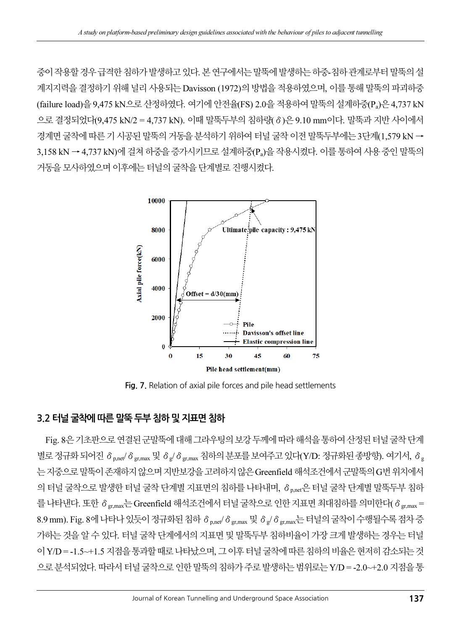중이 작용할 경우 급격한 침하가 발생하고 있다. 본 연구에서는 말뚝에 발생하는 하중-침하 관계로부터 말뚝의 설 계지지력을 결정하기 위해 널리 사용되는 Davisson (1972)의 방법을 적용하였으며, 이를 통해 말뚝의 파괴하<del>중</del> (failure load)을 9,475 kN으로 산정하였다. 여기에 안전율(FS) 2.0을 적용하여 말뚝의 설계하중(Pa)은 4,737 kN 으로 결정되었다(9,475 kN/2 = 4,737 kN). 이때 말뚝두부의 침하량(δ)은 9.10 mm이다. 말뚝과 지반 사이에서 경계면 굴착에 따른 기 시공된 말뚝의 거동을 분석하기 위하여 터널 굴착 이전 말뚝두부에는 3단계(1,579 kN → 3,158 kN → 4,737 kN)에 걸쳐 하<del>중</del>을 증가시키므로 설계하중(P』)을 작용시켰다. 이를 통하여 사용 중인 말뚝의 거동을 모사하였으며 이후에는 터널의 굴착을 단계별로 진행시켰다.



Fig. 7. Relation of axial pile forces and pile head settlements

#### 3.2 터널 굴착에 따른 말뚝 두부 침하 및 지표면 침하

Fig. 8은 기초판으로 연결된 군말뚝에 대해 그라우팅의 보강 두께에 따라 해석을 통하여 산정된 터널 굴착 단계 별로 정규화 되어진 δ <sub>p.net</sub>/δ <sub>gr.max</sub> 및 δ <sub>g</sub>/δ <sub>gr.max</sub> 침하의 분포를 보여주고 있다(Y/D: 정규화된 종방향). 여기서, δ g 는 지중으로 말뚝이 존재하지 않으며 지반보강을 고려하지 않은 Greenfield 해석조건에서 군말뚝의 G번 위치에서 의 터널 굴착으로 발생한 터널 굴착 단계별 지표면의 침하를 나타내며, δ<sub>p.net</sub>은 터널 굴착 단계별 말뚝두부 침하 를 나타낸다. 또한 δ <sub>gr.max</sub>는 Greenfield 해석조건에서 터널 굴착으로 인한 지표면 최대침하를 의미한다(δ gr.max = 8.9 mm). Fig. 8에 나타나 있듯이 정규화된 침하 δ p,net/δ gr,max 및 δ g/δ gr,max는 터널의 굴착이 수행될수록 점차 증 가하는 것을 알 수 있다. 터널 굴착 단계에서의 지표면 및 말뚝두부 침하비율이 가장 크게 발생하는 경우는 터널 이 Y/D = -1.5~+1.5 지점을 통과할 때로 나타났으며, 그 이후 터널 굴착에 따른 침하의 비율은 현저히 감소되는 것 으로 분석되었다. 따라서 터널 굴착으로 인한 말뚝의 침하가 주로 발생하는 범위로는 Y/D = -2.0~+2.0 지점을 통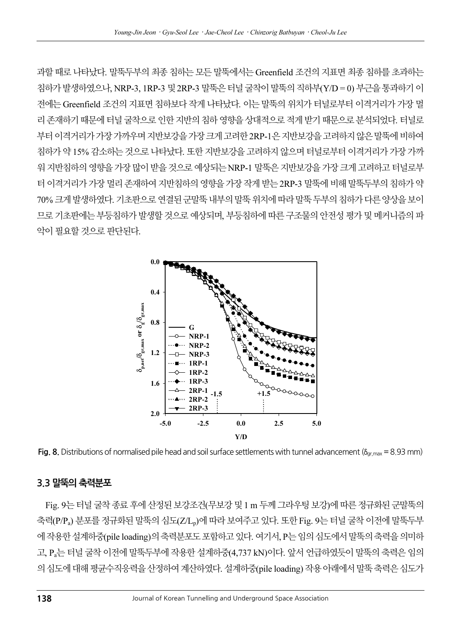과할 때로 나타났다. 말뚝두부의 최종 침하는 모든 말뚝에서는 Greenfield 조건의 지표면 최종 침하를 초과하는 침하가 발생하였으나, NRP-3, 1RP-3 및 2RP-3 말뚝은 터널 굴착이 말뚝의 직하부(Y/D = 0) 부근을 통과하기 이 전에는 Greenfield 조건의 지표면 침하보다 작게 나타났다. 이는 말뚝의 위치가 터널로부터 이격거리가 가장 멀 리 존재하기 때문에 터널 굴착으로 인한 지반의 침하 영향을 상대적으로 적게 받기 때문으로 분석되었다. 터널로 부터 이격거리가 가장 가까우며 지반보강을 가장 크게 고려한 2RP-1은 지반보강을 고려하지 않은 말뚝에 비하여 침하가 약 15% 감소하는 것으로 나타났다. 또한 지반보강을 고려하지 않으며 터널로부터 이격거리가 가장 가까 워 지반침하의 영향을 가장 많이 받을 것으로 예상되는 NRP-1 말뚝은 지반보강을 가장 크게 고려하고 터널로부 터 이격거리가 가장 멀리 존재하여 지반침하의 영향을 가장 작게 받는 2RP-3 말뚝에 비해 말뚝두부의 침하가 약 70% 크게 발생하였다. 기초판으로 연결된 군말뚝 내부의 말뚝 위치에 따라 말뚝 두부의 침하가 다른 양상을 보이 므로 기초판에는 부등침하가 발생할 것으로 예상되며, 부등침하에 따른 구조물의 안전성 평가 및 메커니즘의 파 악이 필요할 것으로 판단된다.



Fig. 8. Distributions of normalised pile head and soil surface settlements with tunnel advancement ( $\delta_{gr,max}$  = 8.93 mm)

#### 3.3 말뚝의 축력분포

Fig. 9는 터널 굴착 종료 후에 산정된 보강조건(무보강 및 1 m 두께 그라우팅 보강)에 따른 정규화된 군말뚝의 축력(P/Pa) 분포를 정규화된 말뚝의 심도(Z/Lp)에 따라 보여주고 있다. 또한 Fig. 9는 터널 굴착 이전에 말뚝두부 에 작용한 설계하중(pile loading)의 축력분포도 포함하고 있다. 여기서, P는 임의 심도에서 말뚝의 축력을 의미하 고, Pa는 터널 굴착 이전에 말뚝두부에 작용한 설계하중(4,737 kN)이다. 앞서 언급하였듯이 말뚝의 축력은 임의 의 심도에 대해 평균수직응력을 산정하여 계산하였다. 설계하중(pile loading) 작용 아래에서 말뚝 축력은 심도가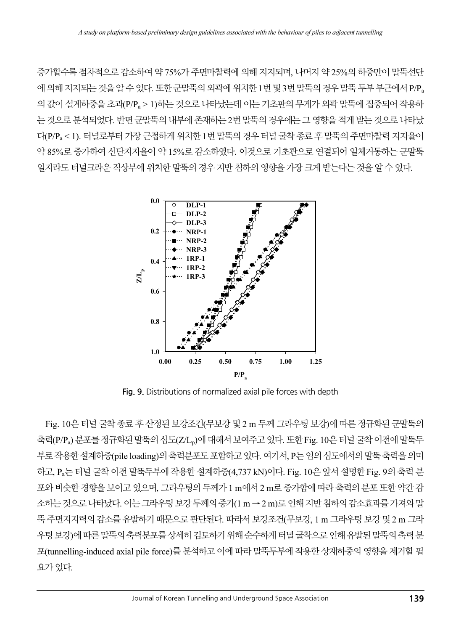증가할수록 점차적으로 감소하여 약 75%가 주면마찰력에 의해 지지되며, 나머지 약 25%의 하중만이 말뚝선단 에 의해 지지되는 것을 알 수 있다. 또한 군말뚝의 외곽에 위치한 1번 및 3번 말뚝의 경우 말뚝 두부 부근에서 P/P<sup>a</sup> 의 값이 설계하중을 초과(P/Pa > 1)하는 것으로 나타났는데 이는 기초판의 무게가 외곽 말뚝에 집중되어 작용하 는 것으로 분석되었다. 반면 군말뚝의 내부에 존재하는 2번 말뚝의 경우에는 그 영향을 적게 받는 것으로 나타났 다(P/Pa < 1). 터널로부터 가장 근접하게 위치한 1번 말뚝의 경우 터널 굴착 종료 후 말뚝의 주면마찰력 지지율이 약 85%로 증가하여 선단지지율이 약 15%로 감소하였다. 이것으로 기초판으로 연결되어 일체거동하는 군말뚝 일지라도 터널크라운 직상부에 위치한 말뚝의 경우 지반 침하의 영향을 가장 크게 받는다는 것을 알 수 있다.



Fig. 9. Distributions of normalized axial pile forces with depth

Fig. 10은 터널 굴착 종료 후 산정된 보강조건(무보강 및 2 m 두께 그라우팅 보강)에 따른 정규화된 군말뚝의 축력(P/Pa) 분포를 정규화된 말뚝의 심도(Z/Lp)에 대해서 보여주고 있다. 또한 Fig. 10은 터널 굴착 이전에 말뚝두 부로 작용한 설계하중(pile loading)의 축력분포도 포함하고 있다. 여기서, P는 임의 심도에서의 말뚝 축력을 의미 하고, Pa는 터널 굴착 이전 말뚝두부에 작용한 설계하중(4,737 kN)이다. Fig. 10은 앞서 설명한 Fig. 9의 축력 분 포와 비슷한 경향을 보이고 있으며, 그라우팅의 두께가 1 m에서 2 m로 증가함에 따라 축력의 분포 또한 약간 감 소하는 것으로 나타났다. 이는 그라우팅 보강 두께의 증가(1 m →2 m)로 인해 지반 침하의 감소효과를 가져와 말 뚝 주면지지력의 감소를 유발하기 때문으로 판단된다. 따라서 보강조건(무보강, 1 m 그라우팅 보강 및 2 m 그라 우팅 보강)에 따른 말뚝의 축력분포를 상세히 검토하기 위해 순수하게 터널 굴착으로 인해 유발된 말뚝의 축력 분 포(tunnelling-induced axial pile force)를 분석하고 이에 따라 말뚝두부에 작용한 상재하중의 영향을 제거할 필 요가 있다.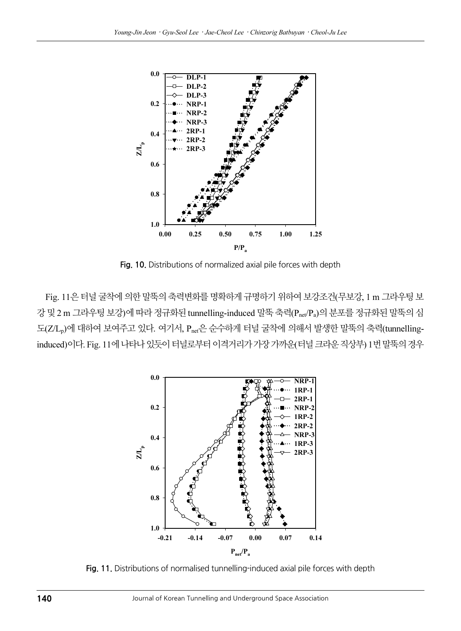

Fig. 10. Distributions of normalized axial pile forces with depth

Fig. 11은 터널 굴착에 의한 말뚝의 축력변화를 명확하게 규명하기 위하여 보강조건(무보강, 1 m 그라우팅 보 강 및 2 m 그라우팅 보강)에 따라 정규화된 tunnelling-induced 말뚝 축력(Pnet/Pa)의 분포를 정규화된 말뚝의 심 도(Z/L<sub>n</sub>)에 대하여 보여주고 있다. 여기서, P<sub>net</sub>은 순수하게 터널 굴착에 의해서 발생한 말뚝의 축력(tunnellinginduced)이다. Fig. 11에 나타나 있듯이 터널로부터 이격거리가 가장 가까운(터널 크라운 직상부) 1번 말뚝의 경우



Fig. 11. Distributions of normalised tunnelling-induced axial pile forces with depth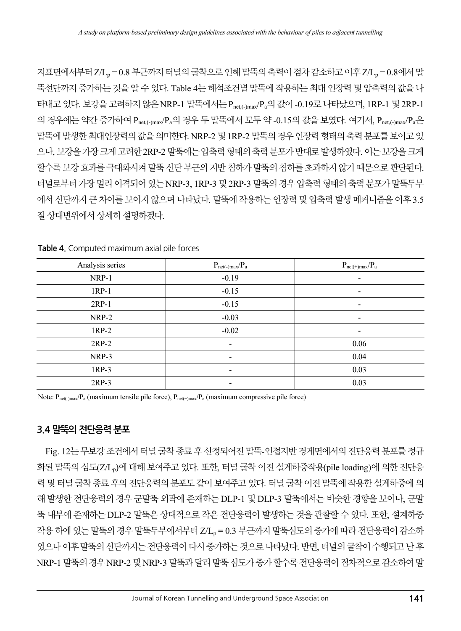지표면에서부터 Z/L, = 0.8 부근까지 터널의 굴착으로 인해 말뚝의 축력이 점차 감소하고 이후 Z/L, = 0.8에서 말 뚝선단까지 증가하는 것을 알 수 있다. Table 4는 해석조건별 말뚝에 작용하는 최대 인장력 및 압축력의 값을 나 타내고 있다. 보강을 고려하지 않은 NRP-1 말뚝에서는 Pnet,(-)max/Pa의 값이 -0.19로 나타났으며, 1RP-1 및 2RP-1 의 경우에는 약간 증가하여  $P_{net,(-)max}/P_a$ 의 경우 두 말뚝에서 모두 약 -0.15의 값을 보였다. 여기서,  $P_{net,(-)max}/P_a$ 은 말뚝에 발생한 최대인장력의 값을 의미한다. NRP-2 및 1RP-2 말뚝의 경우 인장력 형태의 축력 분포를 보이고 있 으나, 보강을 가장 크게 고려한 2RP-2 말뚝에는 압축력 형태의 축력 분포가 반대로 발생하였다. 이는 보강을 크게 할수록 보강 효과를 극대화시켜 말뚝 선단 부근의 지반 침하가 말뚝의 침하를 초과하지 않기 때문으로 판단된다. 터널로부터 가장 멀리 이격되어 있는 NRP-3, 1RP-3 및 2RP-3 말뚝의 경우 압축력 형태의 축력 분포가 말뚝두부 에서 선단까지 큰 차이를 보이지 않으며 나타났다. 말뚝에 작용하는 인장력 및 압축력 발생 메커니즘을 이후 3.5 절 상대변위에서 상세히 설명하겠다.

| Analysis series | $P_{net(-)max}/P_a$          | $P_{net(+)max}/P_a$ |
|-----------------|------------------------------|---------------------|
| NRP-1           | $-0.19$                      |                     |
| $1RP-1$         | $-0.15$                      |                     |
| $2RP-1$         | $-0.15$                      |                     |
| NRP-2           | $-0.03$                      |                     |
| $1RP-2$         | $-0.02$                      |                     |
| $2RP-2$         | $\qquad \qquad \blacksquare$ | 0.06                |
| NRP-3           |                              | 0.04                |
| $1RP-3$         | $\overline{\phantom{0}}$     | 0.03                |
| $2RP-3$         |                              | 0.03                |

Table 4. Computed maximum axial pile forces

Note:  $P_{net(\cdot)max}/P_a$  (maximum tensile pile force),  $P_{net(\cdot)max}/P_a$  (maximum compressive pile force)

#### 3.4 말뚝의 전단응력 분포

Fig. 12는 무보강 조건에서 터널 굴착 종료 후 산정되어진 말뚝-인접지반 경계면에서의 전단응력 분포를 정규 화된 말뚝의 심도(Z/L,)에 대해 보여주고 있다. 또한, 터널 굴착 이전 설계하중작용(pile loading)에 의한 전단응 력 및 터널 굴착 종료 후의 전단응력의 분포도 같이 보여주고 있다. 터널 굴착 이전 말뚝에 작용한 설계하중에 의 해 발생한 전단응력의 경우 군말뚝 외곽에 존재하는 DLP-1 및 DLP-3 말뚝에서는 비슷한 경향을 보이나, 군말 뚝 내부에 존재하는 DLP-2 말뚝은 상대적으로 작은 전단응력이 발생하는 것을 관찰할 수 있다. 또한, 설계하중 작용 하에 있는 말뚝의 경우 말뚝두부에서부터 Z/L, = 0.3 부근까지 말뚝심도의 증가에 따라 전단응력이 감소하 였으나 이후 말뚝의 선단까지는 전단응력이 다시 증가하는 것으로 나타났다. 반면, 터널의 굴착이 수행되고 난후 NRP-1 말뚝의 경우 NRP-2 및 NRP-3 말뚝과 달리 말뚝 심도가 증가 할수록 전단응력이 점차적으로 감소하여 말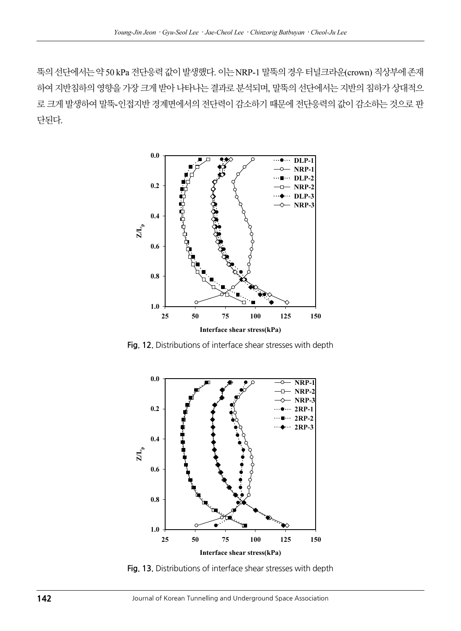뚝의 선단에서는 약 50 kPa 전단응력 값이 발생했다. 이는 NRP-1 말뚝의 경우 터널크라운(crown) 직상부에 존재 하여 지반침하의 영향을 가장 크게 받아 나타나는 결과로 분석되며, 말뚝의 선단에서는 지반의 침하가 상대적으 로 크게 발생하여 말뚝-인접지반 경계면에서의 전단력이 감소하기 때문에 전단응력의 값이 감소하는 것으로 판 단된다.



Fig. 12. Distributions of interface shear stresses with depth



Fig. 13. Distributions of interface shear stresses with depth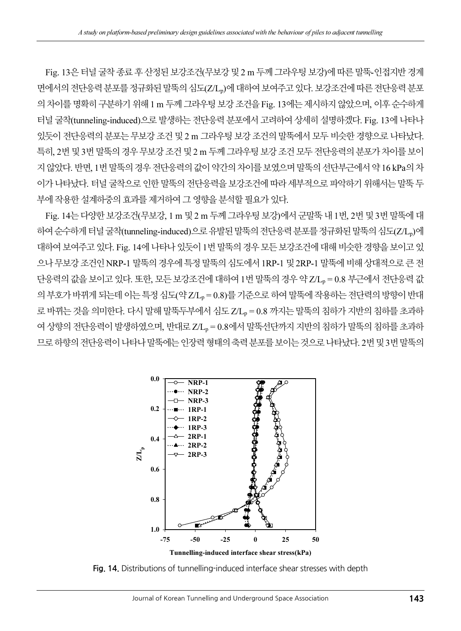Fig. 13은 터널 굴착 종료 후 산정된 보강조건(무보강 및 2 m 두께 그라우팅 보강)에 따른 말뚝-인접지반 경계 면에서의 전단응력 분포를 정규화된 말뚝의 심도(Z/Lp)에 대하여 보여주고 있다. 보강조건에 따른 전단응력 분포 의 차이를 명확히 구분하기 위해 1 m 두께 그라우팅 보강 조건을 Fig. 13에는 제시하지 않았으며, 이후순수하게 터널 굴착(tunneling-induced)으로 발생하는 전단응력 분포에서 고려하여 상세히 설명하겠다. Fig. 13에 나타나 있듯이 전단응력의 분포는 무보강 조건 및 2 m 그라우팅 보강 조건의 말뚝에서 모두 비슷한 경향으로 나타났다. 특히, 2번 및 3번 말뚝의 경우 무보강 조건 및 2 m 두께 그라우팅 보강 조건 모두 전단응력의 분포가 차이를 보이 지 않았다. 반면, 1번 말뚝의 경우 전단응력의 값이 약간의 차이를 보였으며 말뚝의 선단부근에서 약 16 kPa의 차 이가 나타났다. 터널 굴착으로 인한 말뚝의 전단응력을 보강조건에 따라 세부적으로 파악하기 위해서는 말뚝 두 부에 작용한 설계하중의 효과를 제거하여 그 영향을 분석할 필요가 있다.

Fig. 14는 다양한 보강조건(무보강, 1 m 및 2 m 두께 그라우팅 보강)에서 군말뚝 내 1번, 2번 및 3번 말뚝에 대 하여 순수하게 터널 굴착(tunneling-induced)으로 유발된 말뚝의 전단응력 분포를 정규화된 말뚝의 심도(Z/L<sub>D</sub>)에 대하여 보여주고 있다. Fig. 14에 나타나 있듯이 1번 말뚝의 경우 모든 보강조건에 대해 비슷한 경향을 보이고 있 으나 무보강 조건인 NRP-1 말뚝의 경우에 특정 말뚝의 심도에서 1RP-1 및 2RP-1 말뚝에 비해 상대적으로 큰 전 단응력의 값을 보이고 있다. 또한, 모든 보강조건에 대하여 1번 말뚝의 경우 약 Z/L, = 0.8 부근에서 전단응력 값 의 부호가 바뀌게 되는데 이는 특정 심도(약 Z/Lp = 0.8)를 기준으로 하여 말뚝에 작용하는 전단력의 방향이 반대 로 바뀌는 것을 의미한다. 다시 말해 말뚝두부에서 심도 Z/L, = 0.8 까지는 말뚝의 침하가 지반의 침하를 초과하 여 상향의 전단응력이 발생하였으며, 반대로 Z/Lp = 0.8에서 말뚝선단까지 지반의 침하가 말뚝의 침하를 초과하 므로 하향의 전단응력이 나타나 말뚝에는 인장력 형태의 축력 분포를 보이는 것으로 나타났다. 2번 및 3번 말뚝의



Fig. 14. Distributions of tunnelling-induced interface shear stresses with depth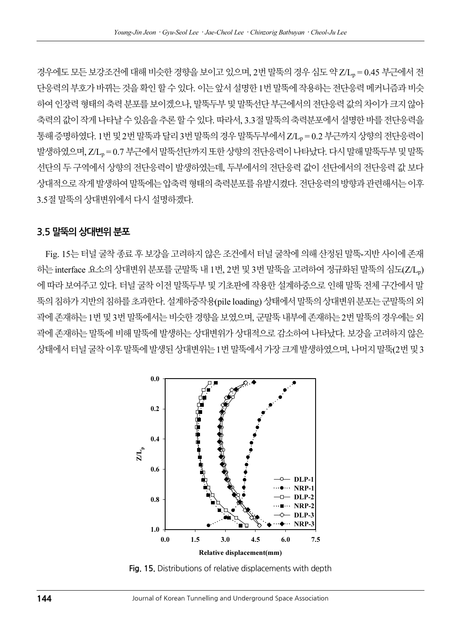경우에도 모든 보강조건에 대해 비슷한 경향을 보이고 있으며, 2번 말뚝의 경우 심도 약 Z/Lp = 0.45 부근에서 전 단응력의 부호가 바뀌는 것을 확인 할 수 있다. 이는 앞서 설명한 1번 말뚝에 작용하는 전단응력 메커니즘과 비슷 하여 인장력 형태의 축력 분포를 보이겠으나, 말뚝두부 및 말뚝선단 부근에서의 전단응력 값의 차이가 크지 않아 축력의 값이 작게 나타날 수 있음을 추론 할 수 있다. 따라서, 3.3절 말뚝의 축력분포에서 설명한 바를 전단응력을 통해 증명하였다. 1번 및 2번 말뚝과 달리 3번 말뚝의 경우 말뚝두부에서 Z/Lp = 0.2 부근까지 상향의 전단응력이 발생하였으며, Z/Lp = 0.7 부근에서 말뚝선단까지 또한 상향의 전단응력이 나타났다. 다시 말해 말뚝두부 및 말뚝 선단의 두 구역에서 상향의 전단응력이 발생하였는데, 두부에서의 전단응력 값이 선단에서의 전단응력 값 보다 상대적으로 작게 발생하여 말뚝에는 압축력 형태의 축력분포를 유발시켰다. 전단응력의 방향과 관련해서는 이후 3.5절 말뚝의 상대변위에서 다시 설명하겠다.

#### 3.5 말뚝의 상대변위 분포

Fig. 15는 터널 굴착 종료 후 보강을 고려하지 않은 조건에서 터널 굴착에 의해 산정된 말뚝-지반 사이에 존재 하는 interface 요소의 상대변위 분포를 군말뚝 내 1번, 2번 및 3번 말뚝을 고려하여 정규화된 말뚝의 심도(Z/L<sub>p</sub>) 에 따라 보여주고 있다. 터널 굴착 이전 말뚝두부 및 기초판에 작용한 설계하중으로 인해 말뚝 전체 구간에서 말 뚝의 침하가 지반의 침하를 초과한다. 설계하중작용(pile loading) 상태에서 말뚝의 상대변위 분포는 군말뚝의 외 곽에 존재하는 1번 및 3번 말뚝에서는 비슷한 경향을 보였으며, 군말뚝 내부에 존재하는 2번 말뚝의 경우에는 외 곽에 존재하는 말뚝에 비해 말뚝에 발생하는 상대변위가 상대적으로 감소하여 나타났다. 보강을 고려하지 않은 상태에서 터널 굴착 이후 말뚝에 발생된 상대변위는 1번 말뚝에서 가장 크게 발생하였으며, 나머지 말뚝(2번 및 3



Fig. 15. Distributions of relative displacements with depth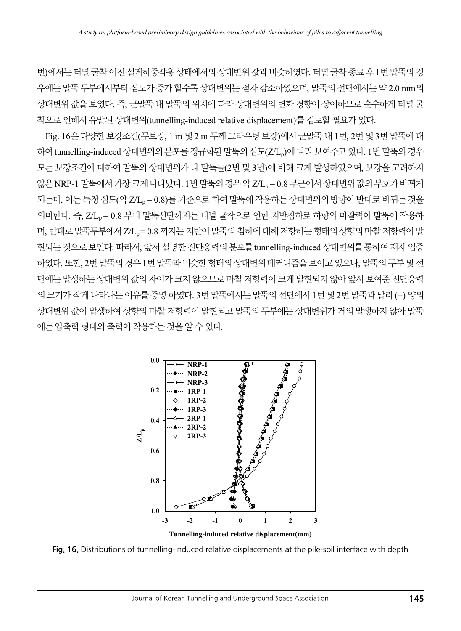번)에서는 터널 굴착 이전 설계하중작용 상태에서의 상대변위 값과 비슷하였다. 터널 굴착 종료 후1번 말뚝의 경 우에는 말뚝 두부에서부터 심도가 증가 할수록 상대변위는 점차 감소하였으며, 말뚝의 선단에서는 약 2.0 mm의 상대변위 값을 보였다. 즉, 군말뚝 내 말뚝의 위치에 따라 상대변위의 변화 경향이 상이하므로 순수하게 터널 굴 착으로 인해서 유발된 상대변위(tunnelling-induced relative displacement)를 검토할 필요가 있다.

Fig. 16은 다양한 보강조건(무보강, 1 m 및 2 m 두께 그라우팅 보강)에서 군말뚝 내 1번, 2번 및 3번 말뚝에 대 하여 tunnelling-induced 상대변위의 분포를 정규화된 말뚝의 심도(Z/L,)에 따라 보여주고 있다. 1번 말뚝의 경우 모든 보강조건에 대하여 말뚝의 상대변위가 타 말뚝들(2번 및 3번)에 비해 크게 발생하였으며, 보강을 고려하지 않은 NRP-1 말뚝에서 가장 크게 나타났다. 1번 말뚝의 경우 약 Z/LB = 0.8 부근에서 상대변위 값의 부호가 바뀌게 되는데, 이는 특정 심도(약 Z/L, = 0.8)를 기준으로 하여 말뚝에 작용하는 상대변위의 방향이 반대로 바뀌는 것을 의미한다. 즉, Z/Ln = 0.8 부터 말뚝선단까지는 터널 굴착으로 인한 지반침하로 하향의 마찰력이 말뚝에 작용하 며, 반대로 말뚝두부에서 Z/L, = 0.8 까지는 지반이 말뚝의 침하에 대해 저항하는 형태의 상향의 마찰 저항력이 발 현되는 것으로 보인다. 따라서, 앞서 설명한 전단응력의 분포를 tunnelling-induced 상대변위를 통하여 재차 입증 하였다. 또한, 2번 말뚝의 경우 1번 말뚝과 비슷한 형태의 상대변위 메커니즘을 보이고 있으나, 말뚝의 두부 및 선 단에는 발생하는 상대변위 값의 차이가 크지 않으므로 마찰 저항력이 크게 발현되지 않아 앞서 보여준 전단응력 의 크기가 작게 나타나는 이유를 증명 하였다. 3번 말뚝에서는 말뚝의 선단에서 1번 및 2번 말뚝과 달리 (+) 양의 상대변위 값이 발생하여 상향의 마찰 저항력이 발현되고 말뚝의 두부에는 상대변위가 거의 발생하지 않아 말뚝 에는 압축력 형태의 축력이 작용하는 것을 알 수 있다.



Fig. 16. Distributions of tunnelling-induced relative displacements at the pile-soil interface with depth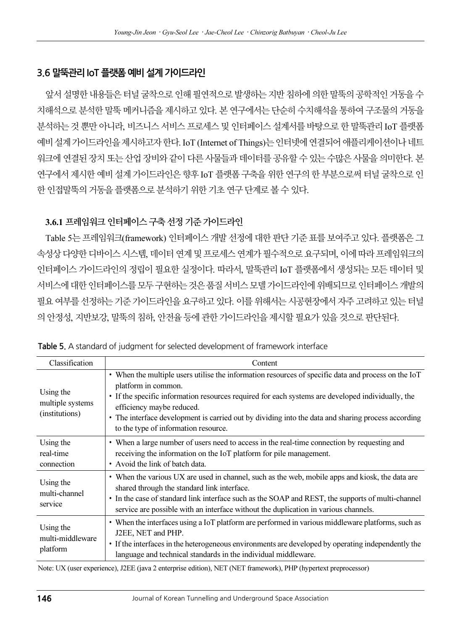#### 3.6 말뚝관리 IoT 플랫폼 예비 설계 가이드라인

앞서 설명한 내용들은 터널 굴착으로 인해 필연적으로 발생하는 지반 침하에 의한 말뚝의 공학적인 거동을 수 치해석으로 분석한 말뚝 메커니즘을 제시하고 있다. 본 연구에서는 단순히 수치해석을 통하여 구조물의 거동을 분석하는 것 뿐만 아니라, 비즈니스 서비스 프로세스 및 인터페이스 설계서를 바탕으로 한 말뚝관리 IoT 플랫폼 예비 설계 가이드라인을 제시하고자 한다. IoT (Internet of Things)는 인터넷에 연결되어 애플리케이션이나 네트 워크에 연결된 장치 또는 산업 장비와 같이 다른 사물들과 데이터를 공유할 수 있는 수많은 사물을 의미한다. 본 연구에서 제시한 예비 설계 가이드라인은 향후 IoT 플랫폼 구축을 위한 연구의 한 부분으로써 터널 굴착으로 인 한 인접말뚝의 거동을 플랫폼으로 분석하기 위한 기초 연구 단계로 볼 수 있다.

#### 3.6.1 프레임워크 인터페이스 구축 선정 기준 가이드라인

Table 5는 프레임워크(framework) 인터페이스 개발 선정에 대한 판단 기준 표를 보여주고 있다. 플랫폼은 그 속성상 다양한 디바이스 시스템, 데이터 연계 및 프로세스 연계가 필수적으로 요구되며, 이에 따라 프레임워크의 인터페이스 가이드라인의 정립이 필요한 실정이다. 따라서, 말뚝관리 IoT 플랫폼에서 생성되는 모든 데이터 및 서비스에 대한 인터페이스를 모두 구현하는 것은 품질 서비스 모델 가이드라인에 위배되므로 인터페이스 개발의 필요 여부를 선정하는 기준 가이드라인을 요구하고 있다. 이를 위해서는 시공현장에서 자주 고려하고 있는 터널 의 안정성, 지반보강, 말뚝의 침하, 안전율 등에 관한 가이드라인을 제시할 필요가 있을 것으로 판단된다.

| Classification                                  | Content                                                                                                                                                                                                                                                                                                                                                                                                    |
|-------------------------------------------------|------------------------------------------------------------------------------------------------------------------------------------------------------------------------------------------------------------------------------------------------------------------------------------------------------------------------------------------------------------------------------------------------------------|
| Using the<br>multiple systems<br>(institutions) | • When the multiple users utilise the information resources of specific data and process on the IoT<br>platform in common.<br>• If the specific information resources required for each systems are developed individually, the<br>efficiency maybe reduced.<br>• The interface development is carried out by dividing into the data and sharing process according<br>to the type of information resource. |
| Using the<br>real-time<br>connection            | • When a large number of users need to access in the real-time connection by requesting and<br>receiving the information on the IoT platform for pile management.<br>• Avoid the link of batch data.                                                                                                                                                                                                       |
| Using the<br>multi-channel<br>service           | • When the various UX are used in channel, such as the web, mobile apps and kiosk, the data are<br>shared through the standard link interface.<br>• In the case of standard link interface such as the SOAP and REST, the supports of multi-channel<br>service are possible with an interface without the duplication in various channels.                                                                 |
| Using the<br>multi-middleware<br>platform       | • When the interfaces using a IoT platform are performed in various middleware platforms, such as<br>J2EE, NET and PHP.<br>• If the interfaces in the heterogeneous environments are developed by operating independently the<br>language and technical standards in the individual middleware.                                                                                                            |

Table 5. A standard of judgment for selected development of framework interface

Note: UX (user experience), J2EE (java 2 enterprise edition), NET (NET framework), PHP (hypertext preprocessor)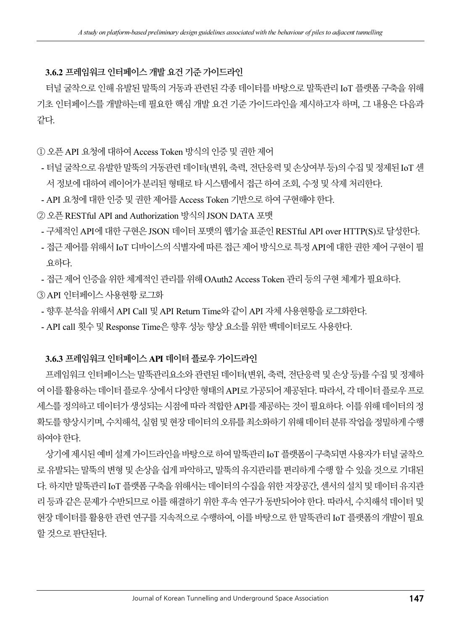#### 3.6.2 프레임워크 인터페이스 개발 요건 기준 가이드라인

터널 굴착으로 인해 유발된 말뚝의 거동과 관련된 각종 데이터를 바탕으로 말뚝관리 IoT 플랫폼 구축을 위해 기초 인터페이스를 개발하는데 필요한 핵심 개발 요건 기준 가이드라인을 제시하고자 하며, 그 내용은 다음과 같다.

#### ① 오픈 API 요청에 대하여 Access Token 방식의 인증 및 권한 제어

- 터널 굴착으로 유발한 말뚝의 거동관련 데이터(변위, 축력, 전단응력 및 손상여부 등)의 수집 및 정제된 IoT 센 서 정보에 대하여 레이어가 분리된 형태로 타 시스템에서 접근 하여 조회, 수정 및 삭제 처리한다.
- API 요청에 대한 인증 및 권한 제어를 Access Token 기반으로 하여 구현해야 한다.
- ② 오픈 RESTful API and Authorization 방식의 JSON DATA 포맷
- 구체적인 API에 대한 구현은 JSON 데이터 포맷의 웹기술 표준인 RESTful API over HTTP(S)로 달성한다.
- 접근 제어를 위해서 IoT 디바이스의 식별자에 따른 접근 제어 방식으로 특정 API에 대한 권한 제어 구현이 필 요하다.
- 접근 제어 인증을 위한 체계적인 관리를 위해 OAuth2 Access Token 관리 등의 구현 체계가 필요하다.
- ③ API 인터페이스 사용현황 로그화
- 향후 분석을 위해서 API Call 및 API Return Time와 같이 API 자체 사용현황을 로그화한다.
- API call 횟수 및 Response Time은 향후 성능 향상 요소를 위한 백데이터로도 사용한다.

#### 3.6.3 프레임워크 인터페이스 API 데이터 플로우 가이드라인

프레임워크 인터페이스는 말뚝관리요소와 관련된 데이터(변위, 축력, 전단응력 및 손상 등)를 수집 및 정제하 여 이를 활용하는 데이터 플로우 상에서 다양한 형태의 API로 가공되어 제공된다. 따라서, 각 데이터 플로우 프로 세스를 정의하고 데이터가 생성되는 시점에 따라 적합한 API를 제공하는 것이 필요하다. 이를 위해 데이터의 정 확도를 향상시키며, 수치해석, 실험 및 현장 데이터의 오류를 최소화하기 위해 데이터 분류 작업을 정밀하게 수행 하여야 한다.

상기에 제시된 예비 설계 가이드라인을 바탕으로 하여 말뚝관리 IoT 플랫폼이 구축되면 사용자가 터널 굴착으 로 유발되는 말뚝의 변형 및 손상을 쉽게 파악하고, 말뚝의 유지관리를 편리하게 수행 할 수 있을 것으로 기대된 다. 하지만 말뚝관리 IoT 플랫폼 구축을 위해서는 데이터의 수집을 위한 저장공간, 센서의 설치 및 데이터 유지관 리 등과 같은 문제가 수반되므로 이를 해결하기 위한 후속 연구가 동반되어야 한다. 따라서, 수치해석 데이터 및 현장 데이터를 활용한 관련 연구를 지속적으로 수행하여, 이를 바탕으로 한 말뚝관리 IoT 플랫폼의 개발이 필요 할 것으로 판단된다.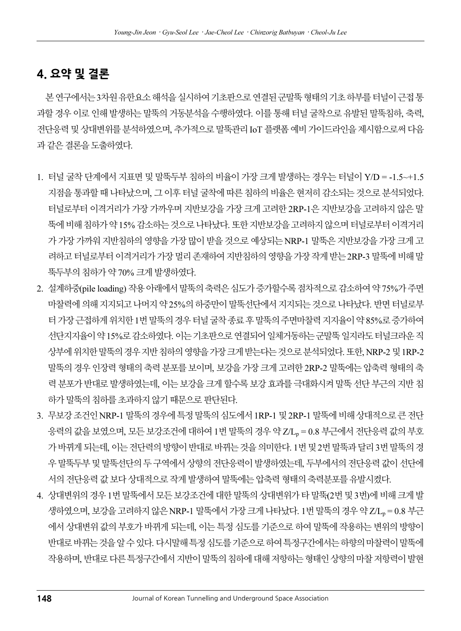### 4. 요약 및 결론

본 연구에서는 3차원 유한요소 해석을 실시하여 기초판으로 연결된 군말뚝 형태의 기초 하부를 터널이 근접 통 과할 경우 이로 인해 발생하는 말뚝의 거동분석을 수행하였다. 이를 통해 터널 굴착으로 유발된 말뚝침하, 축력, 전단응력 및 상대변위를 분석하였으며, 추가적으로 말뚝관리 IoT 플랫폼 예비 가이드라인을 제시함으로써 다음 과 같은 결론을 도출하였다.

- 1. 터널 굴착 단계에서 지표면 및 말뚝두부 침하의 비율이 가장 크게 발생하는 경우는 터널이 Y/D = -1.5~+1.5 지점을 통과할 때 나타났으며, 그 이후 터널 굴착에 따른 침하의 비율은 현저히 감소되는 것으로 분석되었다. 터널로부터 이격거리가 가장 가까우며 지반보강을 가장 크게 고려한 2RP-1은 지반보강을 고려하지 않은 말 뚝에 비해 침하가 약 15% 감소하는 것으로 나타났다. 또한 지반보강을 고려하지 않으며 터널로부터 이격거리 가 가장 가까워 지반침하의 영향을 가장 많이 받을 것으로 예상되는 NRP-1 말뚝은 지반보강을 가장 크게 고 려하고 터널로부터 이격거리가 가장 멀리 존재하여 지반침하의 영향을 가장 작게 받는 2RP-3 말뚝에 비해 말 뚝두부의 침하가 약 70% 크게 발생하였다.
- 2. 설계하중(pile loading) 작용 아래에서 말뚝의 축력은 심도가 증가할수록 점차적으로 감소하여 약 75%가 주면 마찰력에 의해 지지되고 나머지 약 25%의 하중만이 말뚝선단에서 지지되는 것으로 나타났다. 반면 터널로부 터 가장 근접하게 위치한 1번 말뚝의 경우 터널 굴착 종료 후 말뚝의 주면마찰력 지지율이 약 85%로 증가하여 선단지지율이 약 15%로 감소하였다. 이는 기초판으로 연결되어 일체거동하는 군말뚝 일지라도 터널크라운 직 상부에 위치한 말뚝의 경우 지반 침하의 영향을 가장 크게 받는다는 것으로 분석되었다. 또한, NRP-2 및 1RP-2 말뚝의 경우 인장력 형태의 축력 분포를 보이며, 보강을 가장 크게 고려한 2RP-2 말뚝에는 압축력 형태의 축 력 분포가 반대로 발생하였는데, 이는 보강을 크게 할수록 보강 효과를 극대화시켜 말뚝 선단 부근의 지반 침 하가 말뚝의 침하를 초과하지 않기 때문으로 판단된다.
- 3. 무보강 조건인 NRP-1 말뚝의 경우에 특정 말뚝의 심도에서 1RP-1 및 2RP-1 말뚝에 비해 상대적으로 큰 전단 응력의 값을 보였으며, 모든 보강조건에 대하여 1번 말뚝의 경우 약 Z/Lp = 0.8 부근에서 전단응력 값의 부호 가 바뀌게 되는데, 이는 전단력의 방향이 반대로 바뀌는 것을 의미한다. 1번 및 2번 말뚝과 달리 3번 말뚝의 경 우 말뚝두부 및 말뚝선단의 두 구역에서 상향의 전단응력이 발생하였는데, 두부에서의 전단응력 값이 선단에 서의 전단응력 값 보다 상대적으로 작게 발생하여 말뚝에는 압축력 형태의 축력분포를 유발시켰다.
- 4. 상대변위의 경우 1번 말뚝에서 모든 보강조건에 대한 말뚝의 상대변위가 타 말뚝(2번 및 3번)에 비해 크게 발 생하였으며, 보강을 고려하지 않은 NRP-1 말뚝에서 가장 크게 나타났다. 1번 말뚝의 경우 약 Z/Lp = 0.8 부근 에서 상대변위 값의 부호가 바뀌게 되는데, 이는 특정 심도를 기준으로 하여 말뚝에 작용하는 변위의 방향이 반대로 바뀌는 것을 알 수 있다. 다시말해 특정 심도를 기준으로 하여 특정구간에서는 하향의 마찰력이 말뚝에 작용하며, 반대로 다른 특정구간에서 지반이 말뚝의 침하에 대해 저항하는 형태인 상향의 마찰 저항력이 발현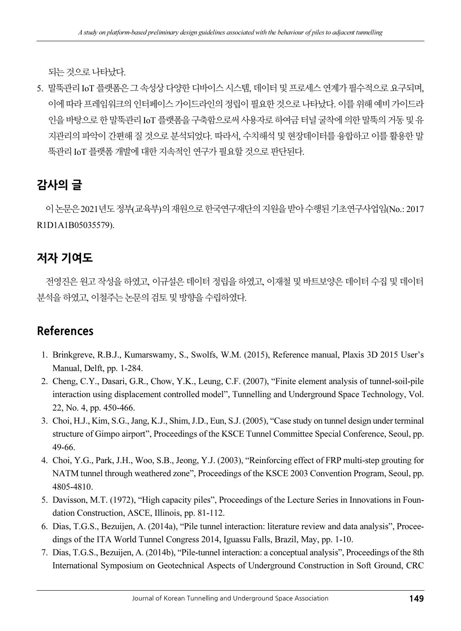되는 것으로 나타났다.

5. 말뚝관리 IoT 플랫폼은 그 속성상 다양한 디바이스 시스템, 데이터 및 프로세스 연계가 필수적으로 요구되며, 이에 따라 프레임워크의 인터페이스 가이드라인의 정립이 필요한 것으로 나타났다. 이를 위해 예비 가이드라 인을 바탕으로 한 말뚝관리 IoT 플랫폼을 구축함으로써 사용자로 하여금 터널 굴착에 의한 말뚝의 거동 및 유 지관리의 파악이 간편해 질 것으로 분석되었다. 따라서, 수치해석 및 현장데이터를 융합하고 이를 활용한 말 뚝관리 IoT 플랫폼 개발에 대한 지속적인 연구가 필요할 것으로 판단된다.

### 감사의 글

이 논문은 2021년도 정부(교육부)의 재원으로 한국연구재단의 지원을 받아 수행된 기초연구사업임(No.: 2017 R1D1A1B05035579).

### 저자 기여도

전영진은 원고 작성을 하였고, 이규설은 데이터 정립을 하였고, 이재철 및 바트보양은 데이터 수집 및 데이터 분석을 하였고, 이철주는 논문의 검토 및 방향을 수립하였다.

### References

- 1. Brinkgreve, R.B.J., Kumarswamy, S., Swolfs, W.M. (2015), Reference manual, Plaxis 3D 2015 User's Manual, Delft, pp. 1-284.
- 2. Cheng, C.Y., Dasari, G.R., Chow, Y.K., Leung, C.F. (2007), "Finite element analysis of tunnel-soil-pile interaction using displacement controlled model", Tunnelling and Underground Space Technology, Vol. 22, No. 4, pp. 450-466.
- 3. Choi, H.J., Kim, S.G., Jang, K.J., Shim, J.D., Eun, S.J. (2005), "Case study on tunnel design under terminal structure of Gimpo airport", Proceedings of the KSCE Tunnel Committee Special Conference, Seoul, pp. 49-66.
- 4. Choi, Y.G., Park, J.H., Woo, S.B., Jeong, Y.J. (2003), "Reinforcing effect of FRP multi-step grouting for NATM tunnel through weathered zone", Proceedings of the KSCE 2003 Convention Program, Seoul, pp. 4805-4810.
- 5. Davisson, M.T. (1972), "High capacity piles", Proceedings of the Lecture Series in Innovations in Foundation Construction, ASCE, Illinois, pp. 81-112.
- 6. Dias, T.G.S., Bezuijen, A. (2014a), "Pile tunnel interaction: literature review and data analysis", Proceedings of the ITA World Tunnel Congress 2014, Iguassu Falls, Brazil, May, pp. 1-10.
- 7. Dias, T.G.S., Bezuijen, A. (2014b), "Pile-tunnel interaction: a conceptual analysis", Proceedings of the 8th International Symposium on Geotechnical Aspects of Underground Construction in Soft Ground, CRC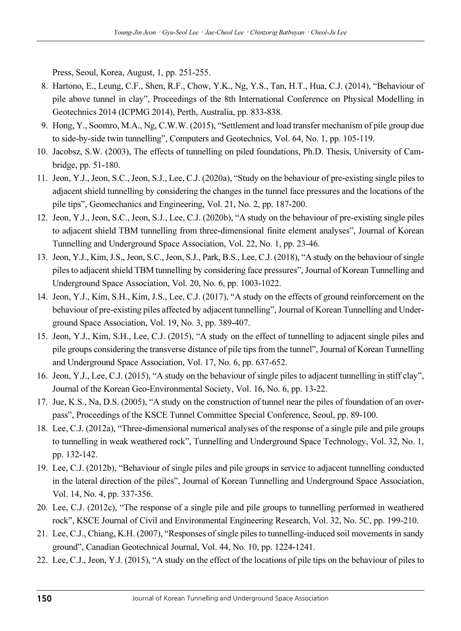Press, Seoul, Korea, August, 1, pp. 251-255.

- 8. Hartono, E., Leung, C.F., Shen, R.F., Chow, Y.K., Ng, Y.S., Tan, H.T., Hua, C.J. (2014), "Behaviour of pile above tunnel in clay", Proceedings of the 8th International Conference on Physical Modelling in Geotechnics 2014 (ICPMG 2014), Perth, Australia, pp. 833-838.
- 9. Hong, Y., Soomro, M.A., Ng, C.W.W. (2015), "Settlement and load transfer mechanism of pile group due to side-by-side twin tunnelling", Computers and Geotechnics, Vol. 64, No. 1, pp. 105-119.
- 10. Jacobsz, S.W. (2003), The effects of tunnelling on piled foundations, Ph.D. Thesis, University of Cambridge, pp. 51-180.
- 11. Jeon, Y.J., Jeon, S.C., Jeon, S.J., Lee, C.J. (2020a), "Study on the behaviour of pre-existing single piles to adjacent shield tunnelling by considering the changes in the tunnel face pressures and the locations of the pile tips", Geomechanics and Engineering, Vol. 21, No. 2, pp. 187-200.
- 12. Jeon, Y.J., Jeon, S.C., Jeon, S.J., Lee, C.J. (2020b), "A study on the behaviour of pre-existing single piles to adjacent shield TBM tunnelling from three-dimensional finite element analyses", Journal of Korean Tunnelling and Underground Space Association, Vol. 22, No. 1, pp. 23-46.
- 13. Jeon, Y.J., Kim, J.S., Jeon, S.C., Jeon, S.J., Park, B.S., Lee, C.J. (2018), "A study on the behaviour of single piles to adjacent shield TBM tunnelling by considering face pressures", Journal of Korean Tunnelling and Underground Space Association, Vol. 20, No. 6, pp. 1003-1022.
- 14. Jeon, Y.J., Kim, S.H., Kim, J.S., Lee, C.J. (2017), "A study on the effects of ground reinforcement on the behaviour of pre-existing piles affected by adjacent tunnelling", Journal of Korean Tunnelling and Underground Space Association, Vol. 19, No. 3, pp. 389-407.
- 15. Jeon, Y.J., Kim, S.H., Lee, C.J. (2015), "A study on the effect of tunnelling to adjacent single piles and pile groups considering the transverse distance of pile tips from the tunnel", Journal of Korean Tunnelling and Underground Space Association, Vol. 17, No. 6, pp. 637-652.
- 16. Jeon, Y.J., Lee, C.J. (2015), "A study on the behaviour of single piles to adjacent tunnelling in stiff clay", Journal of the Korean Geo-Environmental Society, Vol. 16, No. 6, pp. 13-22.
- 17. Jue, K.S., Na, D.S. (2005), "A study on the construction of tunnel near the piles of foundation of an overpass", Proceedings of the KSCE Tunnel Committee Special Conference, Seoul, pp. 89-100.
- 18. Lee, C.J. (2012a), "Three-dimensional numerical analyses of the response of a single pile and pile groups to tunnelling in weak weathered rock", Tunnelling and Underground Space Technology, Vol. 32, No. 1, pp. 132-142.
- 19. Lee, C.J. (2012b), "Behaviour of single piles and pile groups in service to adjacent tunnelling conducted in the lateral direction of the piles", Journal of Korean Tunnelling and Underground Space Association, Vol. 14, No. 4, pp. 337-356.
- 20. Lee, C.J. (2012c), "The response of a single pile and pile groups to tunnelling performed in weathered rock", KSCE Journal of Civil and Environmental Engineering Research, Vol. 32, No. 5C, pp. 199-210.
- 21. Lee, C.J., Chiang, K.H. (2007), "Responses of single piles to tunnelling-induced soil movements in sandy ground", Canadian Geotechnical Journal, Vol. 44, No. 10, pp. 1224-1241.
- 22. Lee, C.J., Jeon, Y.J. (2015), "A study on the effect of the locations of pile tips on the behaviour of piles to